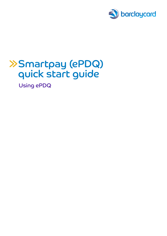

# Smartpay (ePDQ) quick start guide

Using ePDQ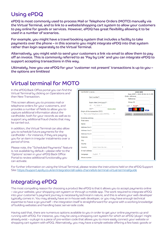### Using ePDQ

ePDQ is most commonly used to process Mail or Telephone Orders (MOTO) manually via the Virtual Terminal, and to link to a website/shopping cart system to allow your customers to pay online for goods or services. However, ePDQ has great flexibility allowing it to be used in a number of scenarios.

For example, you might have a travel booking system that includes a facility to take payments over the phone – in this scenario you might integrate ePDQ into that system rather than login separately to the Virtual Terminal.

Alternatively, you might wish to send your customers a link via email to allow them to pay off an invoice. This is commonly referred to as 'Pay by Link' and you can integrate ePDQ to support accepting transactions in this way.

Ultimately, how you use ePDQ for your 'customer not present' transactions is up to you – the options are limitless!

#### Virtual terminal for MOTO

In the ePDQ Back Office portal you can find the Virtual Terminal by clicking on Operations and then New Transaction.

This screen allows you to process mail or telephone orders for your customers, and provides a number of fields to allow you to capture additional information about the cardholder, both for your records as well as to support any additional fraud checks that may be carried out.

In addition, the Virtual Terminal can also allow you to schedule future payments for the cardholder – for instance, if they are paying you for an item in irregular instalments over a period of time.

Please note, the "Scheduled Payments" feature is not available by default – please refer to the 'Options' screen in your ePDQ Back Office Portal to review additional functionality you can activate.

| Cardholder's name:                                                |                                  |               | <b>VOUCHER</b><br>Date (GMT): 2020-05-06 14:31:55 |
|-------------------------------------------------------------------|----------------------------------|---------------|---------------------------------------------------|
|                                                                   | Card number*:                    |               | Order reference<br>Reference                      |
|                                                                   |                                  |               |                                                   |
|                                                                   | Expiry date (mm/yyyy)*:          |               | Group ID                                          |
|                                                                   | $05$ $\sqrt{2020}$ $\sqrt{2020}$ |               | GBP <b>v</b> Total*:                              |
|                                                                   | $CVC^*$ :                        | What is this? |                                                   |
|                                                                   | Origin of the transaction (ECI)  |               | <b>VISA</b>                                       |
| 1 - Mail order/Telephone order (MOTO).<br>$\overline{\mathbf{v}}$ |                                  |               | SUBMIT SCHEDULED PAYMENTS                         |
| <b>Invoicing address</b>                                          |                                  |               |                                                   |
| First name                                                        |                                  |               |                                                   |
| Name                                                              |                                  |               |                                                   |
| Address line 1                                                    |                                  |               |                                                   |
| Address line 2                                                    |                                  |               |                                                   |
| Address line 3                                                    |                                  |               |                                                   |
| Postcode                                                          |                                  |               |                                                   |
| City                                                              |                                  |               |                                                   |
| County                                                            |                                  |               |                                                   |
| Country                                                           | Select from the list             |               |                                                   |
| E-mail address                                                    |                                  |               |                                                   |
| Language                                                          | English <b>v</b>                 |               |                                                   |
|                                                                   |                                  |               |                                                   |

For further information on using the Virtual Terminal, please review the instructions held on the ePDQ Support Site:<https://support.epdq.co.uk/en/integration/all-sales-channels/e-terminal-virtual-terminal/guide>

## Integrating ePDQ

The most compelling reason for choosing a product like ePDQ is that it allows you to accept payments online – via your website, your shopping cart system or through a mobile app. The work required to integrate ePDQ into your customer's payment journey is necessarily technical in nature, and this is where your web developer typically comes in. You may already have an in-house web developer, or you may have enough technical expertise to have a go yourself – the integration itself is straightforward for anyone with a working knowledge of building websites and handling basic server-side code.

Having said that, there are numerous options available to you in order to get your online payments up and running with ePDQ. For instance, you may be using a shopping cart system for which an ePDQ 'plugin' might already exist – a plugin is a piece of pre-written code that allows you to more easily connect your website or shopping cart system with ePDQ. Alternatively, you may have a simple website offering a few basic goods or